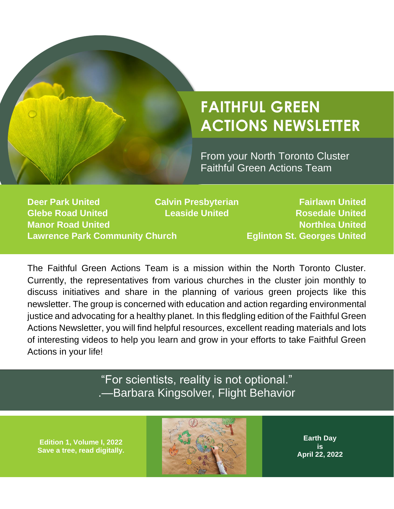

# **FAITHFUL GREEN ACTIONS NEWSLETTER**

From your North Toronto Cluster Faithful Green Actions Team

**Deer Park United Calvin Presbyterian Fairlawn United Glebe Road United Leaside United Rosedale United Manor Road United Northlea United Accord Property Accord Property Accord Property Accord Property Accord Property Accord Property Accord Property Accord Property Accord Property Accord Property Accord Property Accord Prop Lawrence Park Community Church Eglinton St. Georges United**

The Faithful Green Actions Team is a mission within the North Toronto Cluster. Currently, the representatives from various churches in the cluster join monthly to discuss initiatives and share in the planning of various green projects like this newsletter. The group is concerned with education and action regarding environmental justice and advocating for a healthy planet. In this fledgling edition of the Faithful Green Actions Newsletter, you will find helpful resources, excellent reading materials and lots of interesting videos to help you learn and grow in your efforts to take Faithful Green Actions in your life!

## "For scientists, reality is not optional." .—Barbara Kingsolver, Flight Behavior

**Edition 1, Volume I, 2022 Save a tree, read digitally.**



**Earth Day is April 22, 2022**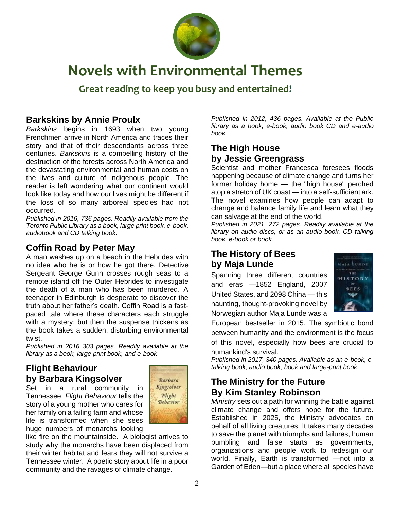

# **Novels with Environmental Themes**

**Great reading to keep you busy and entertained!**

#### **Barkskins by Annie Proulx**

*Barkskins* begins in 1693 when two young Frenchmen arrive in North America and traces their story and that of their descendants across three centuries. *Barkskins* is a compelling history of the destruction of the forests across North America and the devastating environmental and human costs on the lives and culture of indigenous people. The reader is left wondering what our continent would look like today and how our lives might be different if the loss of so many arboreal species had not occurred.

*Published in 2016, 736 pages. Readily available from the Toronto Public Library as a book, large print book, e-book, audiobook and CD talking book.*

## **Coffin Road by Peter May**

A man washes up on a beach in the Hebrides with no idea who he is or how he got there. Detective Sergeant George Gunn crosses rough seas to a remote island off the Outer Hebrides to investigate the death of a man who has been murdered. A teenager in Edinburgh is desperate to discover the truth about her father's death. Coffin Road is a fastpaced tale where these characters each struggle with a mystery; but then the suspense thickens as the book takes a sudden, disturbing environmental twist.

*Published in 2016 303 pages. Readily available at the library as a book, large print book, and e-book*

#### **Flight Behaviour by Barbara Kingsolver**

Set in a rural community in Tennessee, *Flight Behaviour* tells the story of a young mother who cares for her family on a failing farm and whose life is transformed when she sees huge numbers of monarchs looking



like fire on the mountainside. A biologist arrives to study why the monarchs have been displaced from their winter habitat and fears they will not survive a Tennessee winter. A poetic story about life in a poor community and the ravages of climate change.

*Published in 2012, 436 pages. Available at the Public library as a book, e-book, audio book CD and e-audio book.*

### **The High House by Jessie Greengrass**

Scientist and mother Francesca foresees floods happening because of climate change and turns her former holiday home — the "high house" perched atop a stretch of UK coast — into a self-sufficient ark. The novel examines how people can adapt to change and balance family life and learn what they can salvage at the end of the world.

*Published in 2021, 272 pages. Readily available at the library on audio discs, or as an audio book, CD talking book, e-book or book.* 

## **The History of Bees by Maja Lunde**

Spanning three different countries and eras —1852 England, 2007 United States, and 2098 China — this haunting, thought-provoking novel by Norwegian author Maja Lunde was a



European bestseller in 2015. The symbiotic bond between humanity and the environment is the focus of this novel, especially how bees are crucial to humankind's survival.

*Published in 2017, 340 pages. Available as an e-book, etalking book, audio book, book and large-print book.*

#### **The Ministry for the Future By Kim Stanley Robinson**

*Ministry* sets out a path for winning the battle against climate change and offers hope for the future. Established in 2025, the Ministry advocates on behalf of all living creatures. It takes many decades to save the planet with triumphs and failures, human bumbling and false starts as governments, organizations and people work to redesign our world. Finally, Earth is transformed —not into a Garden of Eden—but a place where all species have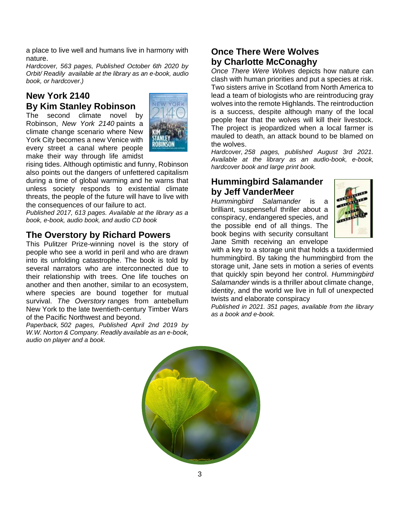a place to live well and humans live in harmony with nature.

*Hardcover, 563 pages, Published October 6th 2020 by Orbit/ Readily available at the library as an e-book, audio book, or hardcover.)* 

## **New York 2140 By Kim Stanley Robinson**

The second climate novel by Robinson, *New York 2140* paints a climate change scenario where New York City becomes a new Venice with every street a canal where people make their way through life amidst



rising tides. Although optimistic and funny, Robinson also points out the dangers of unfettered capitalism during a time of global warming and he warns that unless society responds to existential climate threats, the people of the future will have to live with the consequences of our failure to act.

*Published 2017, 613 pages. Available at the library as a book, e-book, audio book, and audio CD book* 

#### **The Overstory by Richard Powers**

This Pulitzer Prize-winning novel is the story of people who see a world in peril and who are drawn into its unfolding catastrophe. The book is told by several narrators who are interconnected due to their relationship with trees. One life touches on another and then another, similar to an ecosystem, where species are bound together for mutual survival. *The Overstory* ranges from antebellum New York to the late twentieth-century Timber Wars of the Pacific Northwest and beyond.

*Paperback, 502 pages, Published April 2nd 2019 by W.W. Norton & Company. Readily available as an e-book, audio on player and a book.* 

## **[Once There Were Wolves](https://us.macmillan.com/books/9781250244147) by Charlotte McConaghy**

*Once There Were Wolves* depicts how nature can clash with human priorities and put a species at risk. Two sisters arrive in Scotland from North America to lead a team of biologists who are reintroducing gray wolves into the remote Highlands. The reintroduction is a success, despite although many of the local people fear that the wolves will kill their livestock. The project is jeopardized when a local farmer is mauled to death, an attack bound to be blamed on the wolves.

*Hardcover, 258 pages, published August 3rd 2021. Available at the library as an audio-book, e-book, hardcover book and large print book.* 

## **Hummingbird Salamander by Jeff VanderMeer**

*Hummingbird Salamander* is a brilliant, suspenseful thriller about a conspiracy, endangered species, and the possible end of all things. The book begins with security consultant Jane Smith receiving an envelope



with a key to a storage unit that holds a taxidermied hummingbird. By taking the hummingbird from the storage unit, Jane sets in motion a series of events that quickly spin beyond her control. *Hummingbird Salamander* winds is a thriller about climate change, identity, and the world we live in full of unexpected twists and elaborate conspiracy

*Published in 2021. 351 pages, available from the library as a book and e-book.*

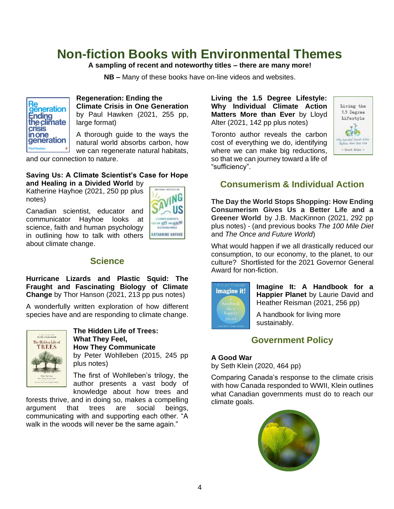## **Non-fiction Books with Environmental Themes**

#### **A sampling of recent and noteworthy titles – there are many more!**

**NB –** Many of these books have on-line videos and websites.



#### **Regeneration: Ending the Climate Crisis in One Generation**  by Paul Hawken (2021, 255 pp, large format)

A thorough guide to the ways the natural world absorbs carbon, how we can regenerate natural habitats,

and our connection to nature.

#### **Saving Us: A Climate Scientist's Case for Hope and Healing in a Divided World** by

Katherine Hayhoe (2021, 250 pp plus notes)

Canadian scientist, educator and communicator Hayhoe looks at science, faith and human psychology in outlining how to talk with others about climate change.



#### **Science**

**Hurricane Lizards and Plastic Squid: The Fraught and Fascinating Biology of Climate Change** by Thor Hanson (2021, 213 pp pus notes)

A wonderfully written exploration of how different species have and are responding to climate change.



**The Hidden Life of Trees: What They Feel, How They Communicate** by Peter Wohlleben (2015, 245 pp plus notes)

The first of Wohlleben's trilogy, the author presents a vast body of knowledge about how trees and

forests thrive, and in doing so, makes a compelling argument that trees are social beings, communicating with and supporting each other. "A walk in the woods will never be the same again."

**Living the 1.5 Degree Lifestyle: Why Individual Climate Action Matters More than Ever** by Lloyd Alter (2021, 142 pp plus notes)

Toronto author reveals the carbon cost of everything we do, identifying where we can make big reductions, so that we can journey toward a life of "sufficiency".



#### **Consumerism & Individual Action**

**The Day the World Stops Shopping: How Ending Consumerism Gives Us a Better Life and a Greener World** by J.B. MacKinnon (2021, 292 pp plus notes) - (and previous books *The 100 Mile Diet* and *The Once and Future World*)

What would happen if we all drastically reduced our consumption, to our economy, to the planet, to our culture? Shortlisted for the 2021 Governor General Award for non-fiction.



**Imagine It: A Handbook for a Happier Planet** by Laurie David and Heather Reisman (2021, 256 pp)

A handbook for living more sustainably.

#### **Government Policy**

#### **A Good War**

by Seth Klein (2020, 464 pp)

Comparing Canada's response to the climate crisis with how Canada responded to WWII, Klein outlines what Canadian governments must do to reach our climate goals.

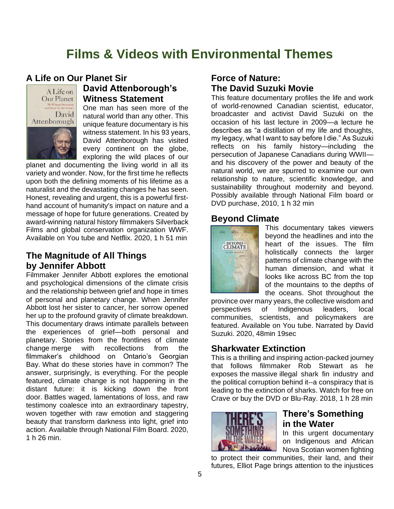## **Films & Videos with Environmental Themes**

#### **A Life on Our Planet Sir**



#### **David Attenborough's Witness Statement**

One man has seen more of the natural world than any other. This unique feature documentary is his witness statement. In his 93 years, David Attenborough has visited every continent on the globe, exploring the wild places of our

planet and documenting the living world in all its variety and wonder. Now, for the first time he reflects upon both the defining moments of his lifetime as a naturalist and the devastating changes he has seen. Honest, revealing and urgent, this is a powerful firsthand account of humanity's impact on nature and a message of hope for future generations. Created by award-winning natural history filmmakers Silverback Films and global conservation organization WWF. Available on You tube and Netflix. 2020, 1 h 51 min

#### **The Magnitude of All Things by Jennifer Abbott**

Filmmaker Jennifer Abbott explores the emotional and psychological dimensions of the climate crisis and the relationship between grief and hope in times of personal and planetary change. When Jennifer Abbott lost her sister to cancer, her sorrow opened her up to the profound gravity of climate breakdown. This documentary draws intimate parallels between the experiences of grief—both personal and planetary. Stories from the frontlines of climate change merge with recollections from the filmmaker's childhood on Ontario's Georgian Bay. What do these stories have in common? The answer, surprisingly, is everything. For the people featured, climate change is not happening in the distant future: it is kicking down the front door. Battles waged, lamentations of loss, and raw testimony coalesce into an extraordinary tapestry, woven together with raw emotion and staggering beauty that transform darkness into light, grief into action. Available through National Film Board. 2020, 1 h 26 min.

#### **Force of Nature: The David Suzuki Movie**

This feature documentary profiles the life and work of world-renowned Canadian scientist, educator, broadcaster and activist David Suzuki on the occasion of his last lecture in 2009—a lecture he describes as "a distillation of my life and thoughts, my legacy, what I want to say before I die." As Suzuki reflects on his family history—including the persecution of Japanese Canadians during WWII and his discovery of the power and beauty of the natural world, we are spurred to examine our own relationship to nature, scientific knowledge, and sustainability throughout modernity and beyond. Possibly available through National Film board or DVD purchase, 2010, 1 h 32 min

#### **Beyond Climate**



This documentary takes viewers beyond the headlines and into the heart of the issues. The film holistically connects the larger patterns of climate change with the human dimension, and what it looks like across BC from the top of the mountains to the depths of the oceans. Shot throughout the

province over many years, the collective wisdom and perspectives of Indigenous leaders, local communities, scientists, and policymakers are featured. Available on You tube. Narrated by David Suzuki. 2020, 48min 19sec

#### **Sharkwater Extinction**

This is a thrilling and inspiring action-packed journey that follows filmmaker Rob Stewart as he exposes the massive illegal shark fin industry and the political corruption behind it--a conspiracy that is leading to the extinction of sharks. [Watch for free on](https://www.crave.ca/tv-shows/sharkwater-extinction)  [Crave](https://www.crave.ca/tv-shows/sharkwater-extinction) or [buy the DVD or Blu-Ray.](https://www.amazon.ca/Sharkwater-Extinction-SHARKWATER-EXTINCTION/dp/B07MV4RYB2) 2018, 1 h 28 min



#### **There's Something in the Water**

In this urgent documentary on Indigenous and African Nova Scotian women fighting

to protect their communities, their land, and their futures, Elliot Page brings attention to the injustices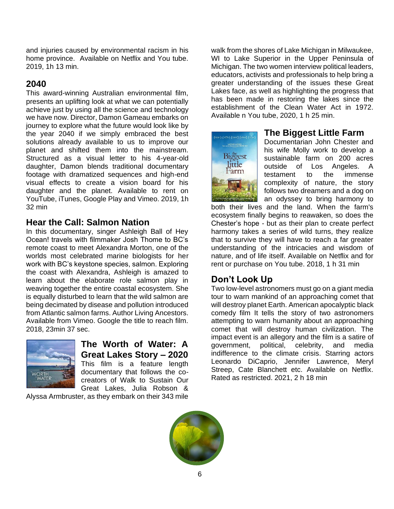and injuries caused by environmental racism in his home province. Available on Netflix and You tube. 2019, 1h 13 min.

#### **2040**

This award-winning Australian environmental film, presents an uplifting look at what we can potentially achieve just by using all the science and technology we have now. Director, Damon Gameau embarks on journey to explore what the future would look like by the year 2040 if we simply embraced the best solutions already available to us to improve our planet and shifted them into the mainstream. Structured as a visual letter to his 4-year-old daughter, Damon blends traditional documentary footage with dramatized sequences and high-end visual effects to create a vision board for his daughter and the planet. Available to rent on YouTube, iTunes, Google Play and Vimeo. 2019, 1h 32 min

#### **Hear the Call: Salmon Nation**

In this documentary, singer Ashleigh Ball of Hey Ocean! travels with filmmaker Josh Thome to BC's remote coast to meet Alexandra Morton, one of the worlds most celebrated marine biologists for her work with BC's keystone species, salmon. Exploring the coast with Alexandra, Ashleigh is amazed to learn about the elaborate role salmon play in weaving together the entire coastal ecosystem. She is equally disturbed to learn that the wild salmon are being decimated by disease and pollution introduced from Atlantic salmon farms. Author Living Ancestors. Available from Vimeo. Google the title to reach film. 2018, 23min 37 sec.



#### **The Worth of Water: A Great Lakes Story – 2020**

This film is a feature length documentary that follows the cocreators of Walk to Sustain Our Great Lakes, Julia Robson &

Alyssa Armbruster, as they embark on their 343 mile

walk from the shores of Lake Michigan in Milwaukee, WI to Lake Superior in the Upper Peninsula of Michigan. The two women interview political leaders, educators, activists and professionals to help bring a greater understanding of the issues these Great Lakes face, as well as highlighting the progress that has been made in restoring the lakes since the establishment of the Clean Water Act in 1972. Available n You tube, 2020, 1 h 25 min.



#### **The Biggest Little Farm**

Documentarian John Chester and his wife Molly work to develop a sustainable farm on 200 acres outside of Los Angeles. A testament to the immense complexity of nature, the story follows two dreamers and a dog on an odyssey to bring harmony to

both their lives and the land. When the farm's ecosystem finally begins to reawaken, so does the Chester's hope - but as their plan to create perfect harmony takes a series of wild turns, they realize that to survive they will have to reach a far greater understanding of the intricacies and wisdom of nature, and of life itself. Available on Netflix and for rent or purchase on You tube. 2018, 1 h 31 min

## **Don't Look Up**

Two low-level astronomers must go on a giant media tour to warn mankind of an approaching comet that will destroy planet Earth. American apocalyptic [black](https://en.wikipedia.org/wiki/Black_comedy_film)  [comedy film](https://en.wikipedia.org/wiki/Black_comedy_film) It tells the story of two [astronomers](https://en.wikipedia.org/wiki/Astronomer) attempting to warn humanity about an approaching comet that will destroy human civilization. The [impact event](https://en.wikipedia.org/wiki/Impact_event) is an allegory and the film is a [satire](https://en.wikipedia.org/wiki/Satire_(film_and_television)) of government, political, celebrity, and media indifference to the [climate crisis.](https://en.wikipedia.org/wiki/Climate_crisis) Starring actors Leonardo DiCaprio, Jennifer Lawrence, Meryl Streep, Cate Blanchett etc. Available on Netflix. Rated as restricted. 2021, 2 h 18 min

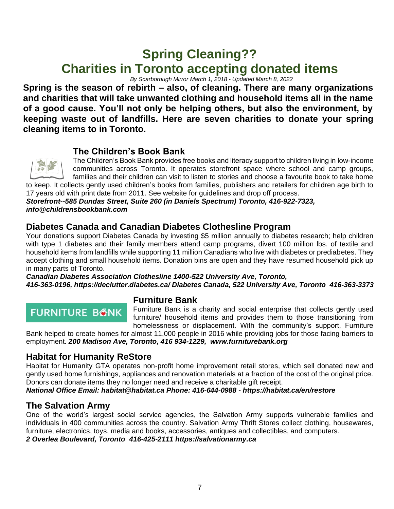## **Spring Cleaning?? Charities in Toronto accepting donated items**

*By Scarborough Mirror March 1, 2018 - Updated March 8, 2022* 

**Spring is the season of rebirth – also, of cleaning. There are many organizations and charities that will take unwanted clothing and household items all in the name of a good cause. You'll not only be helping others, but also the environment, by keeping waste out of landfills. Here are seven charities to donate your spring cleaning items to in Toronto.**

#### **[The Children's Book Bank](http://www.childrensbookbank.com/)**



The Children's Book Bank provides free books and literacy support to children living in low-income communities across Toronto. It operates storefront space where school and camp groups, families and their children can visit to listen to stories and choose a favourite book to take home

to keep. It collects gently used children's books from families, publishers and retailers for children age birth to 17 years old with print date from 2011. See website for guidelines and drop off process. *Storefront--585 Dundas Street, Suite 260 (in Daniels Spectrum) Toronto, 416-922-7323, [info@childrensbookbank.com](mailto:info@childrensbookbank.com)*

#### **[Diabetes Canada](http://www.diabetes.ca/declutter) and Canadian Diabetes Clothesline Program**

Your donations support Diabetes Canada by investing \$5 million annually to diabetes research; help children with type 1 diabetes and their family members attend camp programs, divert 100 million lbs. of textile and household items from landfills while supporting 11 million Canadians who live with diabetes or prediabetes. They accept clothing and small household items. Donation bins are open and they have resumed household pick up in many parts of Toronto.

*Canadian Diabetes Association Clothesline 1400-522 University Ave, Toronto, 416-363-0196,<https://declutter.diabetes.ca/> Diabetes Canada, 522 University Ave, Toronto 416-363-3373*

## **FURNITURE BONK**

#### **[Furniture Bank](http://www.furniturebank.org/)**

Furniture Bank is a charity and social enterprise that collects gently used furniture/ household items and provides them to those transitioning from homelessness or displacement. With the community's support, Furniture

Bank helped to create homes for almost 11,000 people in 2016 while providing jobs for those facing barriers to employment. *200 Madison Ave, Toronto, 416 934-1229, [www.furniturebank.org](http://www.furniturebank.org/)*

#### **[Habitat for Humanity ReStore](https://habitatgta.ca/restore/)**

Habitat for Humanity GTA operates non-profit home improvement retail stores, which sell donated new and gently used home furnishings, appliances and renovation materials at a fraction of the cost of the original price. Donors can donate items they no longer need and receive a charitable gift receipt.

*National Office Email: [habitat@habitat.ca](mailto:habitat@habitat.ca) Phone: [416-644-0988](tel:4166440988) - <https://habitat.ca/en/restore>*

#### **[The Salvation Army](http://www.salvationarmy.ca/)**

One of the world's largest social service agencies, the Salvation Army supports vulnerable families and individuals in 400 communities across the country. Salvation Army Thrift Stores collect clothing, housewares, furniture, electronics, toys, media and books, accessories, antiques and collectibles, and computers*.* 

*[2 Overlea Boulevard, Toronto](2%20Overlea%20Boulevard,%20Toronto%20) [416-425-2111](file:///C:/Users/annlo/OneDrive/Documents/416-425-2111) [https://salvationarmy.ca](https://salvationarmy.ca/)*